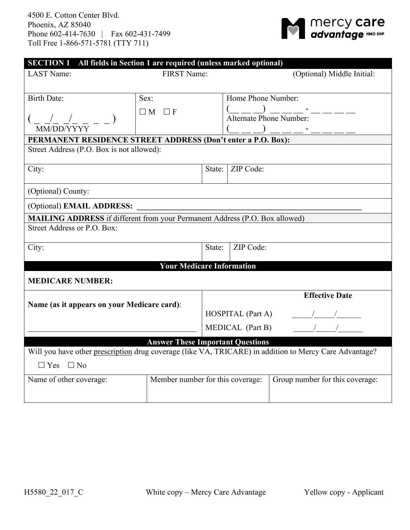

| <b>LAST Name:</b>                                                                  |                                         | <b>SECTION 1</b> All fields in Section 1 are required (unless marked optional)<br>FIRST Name: |                                                                                                         | (Optional) Middle Initial:                                                                                                                                                                                                                                                                                          |  |  |
|------------------------------------------------------------------------------------|-----------------------------------------|-----------------------------------------------------------------------------------------------|---------------------------------------------------------------------------------------------------------|---------------------------------------------------------------------------------------------------------------------------------------------------------------------------------------------------------------------------------------------------------------------------------------------------------------------|--|--|
| <b>Birth Date:</b>                                                                 | Sex:                                    | Home Phone Number:                                                                            |                                                                                                         |                                                                                                                                                                                                                                                                                                                     |  |  |
|                                                                                    | $\Box M \Box F$                         |                                                                                               | $\frac{(\underline{\hspace{1cm}}\underline{\hspace{1cm}})}{\text{Alternate Phone Number:}}$ - - - - - - |                                                                                                                                                                                                                                                                                                                     |  |  |
|                                                                                    |                                         |                                                                                               |                                                                                                         |                                                                                                                                                                                                                                                                                                                     |  |  |
| MM/DD/YYYY                                                                         |                                         |                                                                                               |                                                                                                         |                                                                                                                                                                                                                                                                                                                     |  |  |
| PERMANENT RESIDENCE STREET ADDRESS (Don't enter a P.O. Box):                       |                                         |                                                                                               |                                                                                                         |                                                                                                                                                                                                                                                                                                                     |  |  |
| Street Address (P.O. Box is not allowed):                                          |                                         |                                                                                               |                                                                                                         |                                                                                                                                                                                                                                                                                                                     |  |  |
| City:                                                                              |                                         | State:                                                                                        | ZIP Code:                                                                                               |                                                                                                                                                                                                                                                                                                                     |  |  |
|                                                                                    |                                         |                                                                                               |                                                                                                         |                                                                                                                                                                                                                                                                                                                     |  |  |
| (Optional) County:                                                                 |                                         |                                                                                               |                                                                                                         |                                                                                                                                                                                                                                                                                                                     |  |  |
| (Optional) <b>EMAIL ADDRESS:</b>                                                   |                                         |                                                                                               |                                                                                                         |                                                                                                                                                                                                                                                                                                                     |  |  |
| <b>MAILING ADDRESS</b> if different from your Permanent Address (P.O. Box allowed) |                                         |                                                                                               |                                                                                                         |                                                                                                                                                                                                                                                                                                                     |  |  |
| Street Address or P.O. Box:                                                        |                                         |                                                                                               |                                                                                                         |                                                                                                                                                                                                                                                                                                                     |  |  |
|                                                                                    |                                         |                                                                                               |                                                                                                         |                                                                                                                                                                                                                                                                                                                     |  |  |
| City:                                                                              |                                         | State:                                                                                        | ZIP Code:                                                                                               |                                                                                                                                                                                                                                                                                                                     |  |  |
|                                                                                    | <b>Your Medicare Information</b>        |                                                                                               |                                                                                                         |                                                                                                                                                                                                                                                                                                                     |  |  |
| <b>MEDICARE NUMBER:</b>                                                            |                                         |                                                                                               |                                                                                                         |                                                                                                                                                                                                                                                                                                                     |  |  |
|                                                                                    |                                         |                                                                                               |                                                                                                         | <b>Effective Date</b>                                                                                                                                                                                                                                                                                               |  |  |
| Name (as it appears on your Medicare card):                                        |                                         |                                                                                               |                                                                                                         |                                                                                                                                                                                                                                                                                                                     |  |  |
|                                                                                    |                                         |                                                                                               | HOSPITAL (Part A)                                                                                       | $\frac{1}{2}$ $\frac{1}{2}$ $\frac{1}{2}$ $\frac{1}{2}$ $\frac{1}{2}$ $\frac{1}{2}$ $\frac{1}{2}$ $\frac{1}{2}$ $\frac{1}{2}$ $\frac{1}{2}$ $\frac{1}{2}$ $\frac{1}{2}$ $\frac{1}{2}$ $\frac{1}{2}$ $\frac{1}{2}$ $\frac{1}{2}$ $\frac{1}{2}$ $\frac{1}{2}$ $\frac{1}{2}$ $\frac{1}{2}$ $\frac{1}{2}$ $\frac{1}{2}$ |  |  |
|                                                                                    |                                         |                                                                                               | MEDICAL (Part B)                                                                                        | $\frac{1}{\sqrt{1-\frac{1}{2}}}$                                                                                                                                                                                                                                                                                    |  |  |
|                                                                                    | <b>Answer These Important Questions</b> |                                                                                               |                                                                                                         |                                                                                                                                                                                                                                                                                                                     |  |  |
|                                                                                    |                                         |                                                                                               |                                                                                                         | Will you have other prescription drug coverage (like VA, TRICARE) in addition to Mercy Care Advantage?                                                                                                                                                                                                              |  |  |
| $\Box$ Yes $\Box$ No                                                               |                                         |                                                                                               |                                                                                                         |                                                                                                                                                                                                                                                                                                                     |  |  |
| Member number for this coverage:<br>Name of other coverage:                        |                                         |                                                                                               |                                                                                                         | Group number for this coverage:                                                                                                                                                                                                                                                                                     |  |  |
|                                                                                    |                                         |                                                                                               |                                                                                                         |                                                                                                                                                                                                                                                                                                                     |  |  |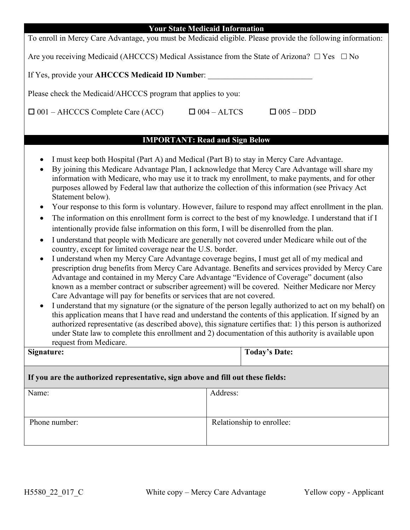| <b>Your State Medicaid Information</b>                                                                       |                    |                  |  |  |  |
|--------------------------------------------------------------------------------------------------------------|--------------------|------------------|--|--|--|
| To enroll in Mercy Care Advantage, you must be Medicaid eligible. Please provide the following information:  |                    |                  |  |  |  |
| Are you receiving Medicaid (AHCCCS) Medical Assistance from the State of Arizona? $\square$ Yes $\square$ No |                    |                  |  |  |  |
| If Yes, provide your AHCCCS Medicaid ID Number:                                                              |                    |                  |  |  |  |
| Please check the Medicaid/AHCCCS program that applies to you:                                                |                    |                  |  |  |  |
| $\Box$ 001 – AHCCCS Complete Care (ACC)                                                                      | $\Box$ 004 – ALTCS | $\Box$ 005 – DDD |  |  |  |
|                                                                                                              |                    |                  |  |  |  |

## **IMPORTANT: Read and Sign Below**

- I must keep both Hospital (Part A) and Medical (Part B) to stay in Mercy Care Advantage.
- By joining this Medicare Advantage Plan, I acknowledge that Mercy Care Advantage will share my information with Medicare, who may use it to track my enrollment, to make payments, and for other purposes allowed by Federal law that authorize the collection of this information (see Privacy Act Statement below).
- Your response to this form is voluntary. However, failure to respond may affect enrollment in the plan.
- The information on this enrollment form is correct to the best of my knowledge. I understand that if I intentionally provide false information on this form, I will be disenrolled from the plan.
- I understand that people with Medicare are generally not covered under Medicare while out of the country, except for limited coverage near the U.S. border.
- I understand when my Mercy Care Advantage coverage begins, I must get all of my medical and prescription drug benefits from Mercy Care Advantage. Benefits and services provided by Mercy Care Advantage and contained in my Mercy Care Advantage "Evidence of Coverage" document (also known as a member contract or subscriber agreement) will be covered. Neither Medicare nor Mercy Care Advantage will pay for benefits or services that are not covered.
- I understand that my signature (or the signature of the person legally authorized to act on my behalf) on this application means that I have read and understand the contents of this application. If signed by an authorized representative (as described above), this signature certifies that: 1) this person is authorized under State law to complete this enrollment and 2) documentation of this authority is available upon request from Medicare.

| Signature: | Today's Date: |
|------------|---------------|
|            |               |

## **If you are the authorized representative, sign above and fill out these fields:**

| Name:         | Address:                  |
|---------------|---------------------------|
| Phone number: | Relationship to enrollee: |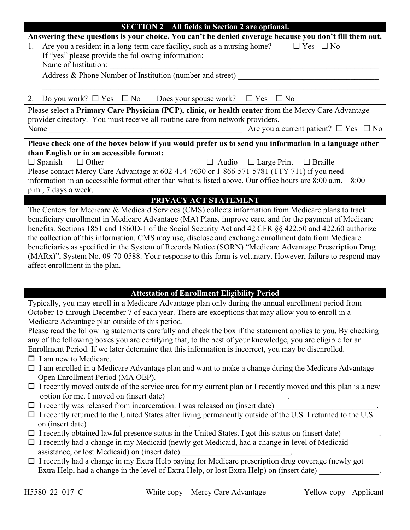| <b>SECTION 2</b> All fields in Section 2 are optional.                                                                                                      |  |  |  |  |
|-------------------------------------------------------------------------------------------------------------------------------------------------------------|--|--|--|--|
| Answering these questions is your choice. You can't be denied coverage because you don't fill them out.                                                     |  |  |  |  |
| Are you a resident in a long-term care facility, such as a nursing home?<br>$\Box$ Yes $\Box$ No<br>1.                                                      |  |  |  |  |
| If "yes" please provide the following information:                                                                                                          |  |  |  |  |
| Name of Institution:                                                                                                                                        |  |  |  |  |
| Address & Phone Number of Institution (number and street)                                                                                                   |  |  |  |  |
|                                                                                                                                                             |  |  |  |  |
| 2. Do you work? $\Box$ Yes $\Box$ No Does your spouse work? $\Box$ Yes $\Box$ No                                                                            |  |  |  |  |
| Please select a Primary Care Physician (PCP), clinic, or health center from the Mercy Care Advantage                                                        |  |  |  |  |
| provider directory. You must receive all routine care from network providers.                                                                               |  |  |  |  |
| Are you a current patient? $\Box$ Yes $\Box$ No<br>Name                                                                                                     |  |  |  |  |
| Please check one of the boxes below if you would prefer us to send you information in a language other                                                      |  |  |  |  |
| than English or in an accessible format:                                                                                                                    |  |  |  |  |
| $\Box$ Audio $\Box$ Large Print $\Box$ Braille<br>$\Box$ Spanish $\Box$ Other<br><u> 1989 - Johann Barbara, martxa amerikan per</u>                         |  |  |  |  |
| Please contact Mercy Care Advantage at 602-414-7630 or 1-866-571-5781 (TTY 711) if you need                                                                 |  |  |  |  |
| information in an accessible format other than what is listed above. Our office hours are $8:00$ a.m. $-8:00$                                               |  |  |  |  |
| p.m., 7 days a week.                                                                                                                                        |  |  |  |  |
| PRIVACY ACT STATEMENT                                                                                                                                       |  |  |  |  |
| The Centers for Medicare & Medicaid Services (CMS) collects information from Medicare plans to track                                                        |  |  |  |  |
| beneficiary enrollment in Medicare Advantage (MA) Plans, improve care, and for the payment of Medicare                                                      |  |  |  |  |
| benefits. Sections 1851 and 1860D-1 of the Social Security Act and 42 CFR §§ 422.50 and 422.60 authorize                                                    |  |  |  |  |
| the collection of this information. CMS may use, disclose and exchange enrollment data from Medicare                                                        |  |  |  |  |
| beneficiaries as specified in the System of Records Notice (SORN) "Medicare Advantage Prescription Drug                                                     |  |  |  |  |
| (MARx)", System No. 09-70-0588. Your response to this form is voluntary. However, failure to respond may                                                    |  |  |  |  |
| affect enrollment in the plan.                                                                                                                              |  |  |  |  |
|                                                                                                                                                             |  |  |  |  |
|                                                                                                                                                             |  |  |  |  |
| <b>Attestation of Enrollment Eligibility Period</b><br>Typically, you may enroll in a Medicare Advantage plan only during the annual enrollment period from |  |  |  |  |
| October 15 through December 7 of each year. There are exceptions that may allow you to enroll in a                                                          |  |  |  |  |
| Medicare Advantage plan outside of this period.                                                                                                             |  |  |  |  |
| Please read the following statements carefully and check the box if the statement applies to you. By checking                                               |  |  |  |  |
| any of the following boxes you are certifying that, to the best of your knowledge, you are eligible for an                                                  |  |  |  |  |
| Enrollment Period. If we later determine that this information is incorrect, you may be disenrolled.                                                        |  |  |  |  |
| $\Box$ I am new to Medicare.                                                                                                                                |  |  |  |  |
| □ I am enrolled in a Medicare Advantage plan and want to make a change during the Medicare Advantage                                                        |  |  |  |  |
| Open Enrollment Period (MA OEP).                                                                                                                            |  |  |  |  |
| $\Box$ I recently moved outside of the service area for my current plan or I recently moved and this plan is a new                                          |  |  |  |  |
| option for me. I moved on (insert date)                                                                                                                     |  |  |  |  |
| $\Box$ I recently was released from incarceration. I was released on (insert date)                                                                          |  |  |  |  |
| □ I recently returned to the United States after living permanently outside of the U.S. I returned to the U.S.                                              |  |  |  |  |
| on (insert date)                                                                                                                                            |  |  |  |  |
| $\Box$ I recently obtained lawful presence status in the United States. I got this status on (insert date)                                                  |  |  |  |  |
| $\Box$ I recently had a change in my Medicaid (newly got Medicaid, had a change in level of Medicaid                                                        |  |  |  |  |
| assistance, or lost Medicaid) on (insert date)                                                                                                              |  |  |  |  |
| □ I recently had a change in my Extra Help paying for Medicare prescription drug coverage (newly got                                                        |  |  |  |  |
| Extra Help, had a change in the level of Extra Help, or lost Extra Help) on (insert date)                                                                   |  |  |  |  |
|                                                                                                                                                             |  |  |  |  |